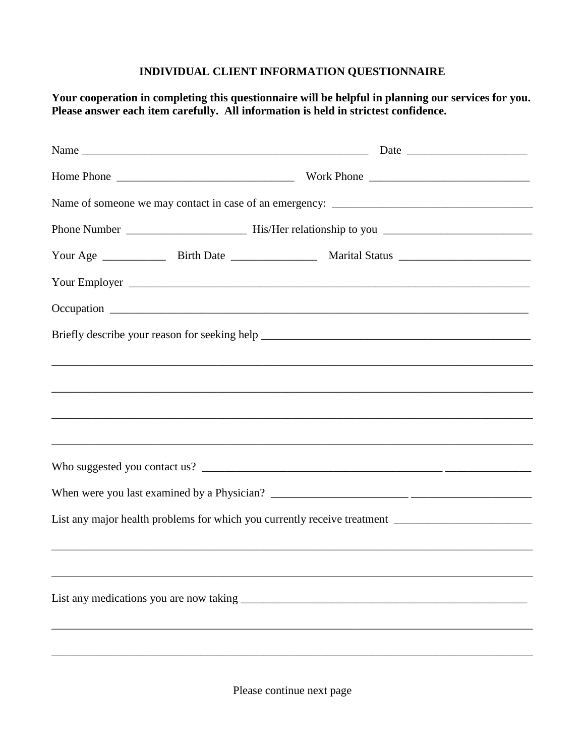## **INDIVIDUAL CLIENT INFORMATION QUESTIONNAIRE**

**Your cooperation in completing this questionnaire will be helpful in planning our services for you. Please answer each item carefully. All information is held in strictest confidence.**

| List any major health problems for which you currently receive treatment ___________________________ |                                                                                  |  |  |  |  |  |
|------------------------------------------------------------------------------------------------------|----------------------------------------------------------------------------------|--|--|--|--|--|
|                                                                                                      | ,我们也不能在这里的时候,我们也不能在这里的时候,我们也不能会不能会不能会不能会不能会不能会不能会不能会不能会不能会。""我们的是,我们也不能会不能会不能会不能 |  |  |  |  |  |
|                                                                                                      |                                                                                  |  |  |  |  |  |
|                                                                                                      |                                                                                  |  |  |  |  |  |
|                                                                                                      |                                                                                  |  |  |  |  |  |
|                                                                                                      |                                                                                  |  |  |  |  |  |
|                                                                                                      |                                                                                  |  |  |  |  |  |

Please continue next page